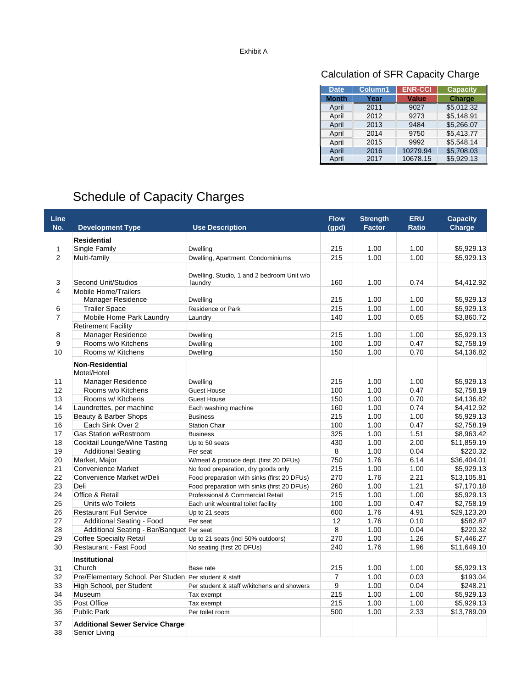## Calculation of SFR Capacity Charge

| <b>Date</b>  | Column1 | <b>ENR-CCI</b> | <b>Capacity</b> |
|--------------|---------|----------------|-----------------|
| <b>Month</b> | Year    | <b>Value</b>   | <b>Charge</b>   |
| April        | 2011    | 9027           | \$5,012.32      |
| April        | 2012    | 9273           | \$5,148.91      |
| April        | 2013    | 9484           | \$5,266.07      |
| April        | 2014    | 9750           | \$5,413.77      |
| April        | 2015    | 9992           | \$5.548.14      |
| April        | 2016    | 10279.94       | \$5,708.03      |
| April        | 2017    | 10678.15       | \$5,929.13      |

## Schedule of Capacity Charges

| <b>Line</b><br>No.  | <b>Development Type</b>                                    | <b>Use Description</b>                                | <b>Flow</b><br>(qpd) | <b>Strength</b><br><b>Factor</b> | <b>ERU</b><br><b>Ratio</b> | <b>Capacity</b><br><b>Charge</b> |
|---------------------|------------------------------------------------------------|-------------------------------------------------------|----------------------|----------------------------------|----------------------------|----------------------------------|
|                     | <b>Residential</b>                                         |                                                       |                      |                                  |                            |                                  |
| 1<br>2              | Single Family                                              | <b>Dwelling</b>                                       | 215                  | 1.00                             | 1.00                       | \$5.929.13                       |
|                     | Multi-family                                               | Dwelling, Apartment, Condominiums                     | 215                  | 1.00                             | 1.00                       | \$5,929.13                       |
| 3<br>$\overline{4}$ | Second Unit/Studios                                        | Dwelling, Studio, 1 and 2 bedroom Unit w/o<br>laundry | 160                  | 1.00                             | 0.74                       | \$4,412.92                       |
|                     | <b>Mobile Home/Trailers</b><br>Manager Residence           | <b>Dwelling</b>                                       | 215                  | 1.00                             | 1.00                       | \$5,929.13                       |
| 6<br>$\overline{7}$ | <b>Trailer Space</b>                                       | Residence or Park                                     | 215                  | 1.00                             | 1.00                       | \$5,929.13                       |
|                     | Mobile Home Park Laundry                                   | Laundry                                               | 140                  | 1.00                             | 0.65                       | \$3,860.72                       |
|                     | <b>Retirement Facility</b>                                 |                                                       |                      |                                  |                            |                                  |
| 8<br>9              | Manager Residence                                          | Dwelling                                              | 215                  | 1.00                             | 1.00                       | \$5,929.13                       |
|                     | Rooms w/o Kitchens                                         | Dwelling                                              | 100                  | 1.00                             | 0.47                       | \$2,758.19                       |
| 10                  | Rooms w/ Kitchens                                          | <b>Dwelling</b>                                       | 150                  | 1.00                             | 0.70                       | \$4,136.82                       |
| 11                  | <b>Non-Residential</b><br>Motel/Hotel<br>Manager Residence | Dwelling                                              | 215                  | 1.00                             | 1.00                       | \$5,929.13                       |
| 12                  | Rooms w/o Kitchens                                         | <b>Guest House</b>                                    | 100                  | 1.00                             | 0.47                       | \$2,758.19                       |
| 13                  | Rooms w/ Kitchens                                          | <b>Guest House</b>                                    | 150                  | 1.00                             | 0.70                       | \$4,136.82                       |
| 14                  | Laundrettes, per machine                                   | Each washing machine                                  | 160                  | 1.00                             | 0.74                       | \$4,412.92                       |
| 15                  | Beauty & Barber Shops                                      | <b>Business</b>                                       | 215                  | 1.00                             | 1.00                       | \$5,929.13                       |
| 16                  | Each Sink Over 2                                           | <b>Station Chair</b>                                  | 100                  | 1.00                             | 0.47                       | \$2,758.19                       |
| 17                  | Gas Station w/Restroom                                     | <b>Business</b>                                       | 325                  | 1.00                             | 1.51                       | \$8,963.42                       |
| 18                  | Cocktail Lounge/Wine Tasting                               | Up to 50 seats                                        | 430                  | 1.00                             | 2.00                       | \$11,859.19                      |
| 19                  | <b>Additional Seating</b>                                  | Per seat                                              | 8                    | 1.00                             | 0.04                       | \$220.32                         |
| 20                  | Market, Major                                              | W/meat & produce dept. (first 20 DFUs)                | 750                  | 1.76                             | 6.14                       | \$36,404.01                      |
| 21                  | <b>Convenience Market</b>                                  | No food preparation, dry goods only                   | 215                  | 1.00                             | 1.00                       | \$5,929.13                       |
| 22                  | Convenience Market w/Deli                                  | Food preparation with sinks (first 20 DFUs)           | 270                  | 1.76                             | 2.21                       | \$13,105.81                      |
| 23                  | Deli                                                       | Food preparation with sinks (first 20 DFUs)           | 260                  | 1.00                             | 1.21                       | \$7,170.18                       |
| 24                  | Office & Retail                                            | Professional & Commercial Retail                      | 215                  | 1.00                             | 1.00                       | \$5,929.13                       |
| 25                  | Units w/o Toilets                                          | Each unit w/central toilet facility                   | 100                  | 1.00                             | 0.47                       | \$2,758.19                       |
| 26                  | <b>Restaurant Full Service</b>                             | Up to 21 seats                                        | 600                  | 1.76                             | 4.91                       | \$29,123.20                      |
| 27                  | Additional Seating - Food                                  | Per seat                                              | 12                   | 1.76                             | 0.10                       | \$582.87                         |
| 28                  | Additional Seating - Bar/Banquet Per seat                  |                                                       | 8                    | 1.00                             | 0.04                       | \$220.32                         |
| 29                  | <b>Coffee Specialty Retail</b>                             | Up to 21 seats (incl 50% outdoors)                    | 270                  | 1.00                             | 1.26                       | \$7,446.27                       |
| 30                  | Restaurant - Fast Food                                     | No seating (first 20 DFUs)                            | 240                  | 1.76                             | 1.96                       | \$11,649.10                      |
| 31                  | <b>Institutional</b><br>Church                             | Base rate                                             | 215                  | 1.00                             | 1.00                       | \$5,929.13                       |
| 32                  | Pre/Elementary School, Per Studen Per student & staff      |                                                       | 7                    | 1.00                             | 0.03                       | \$193.04                         |
| 33<br>34            | High School, per Student                                   | Per student & staff w/kitchens and showers            | 9                    | 1.00                             | 0.04                       | \$248.21                         |
|                     | Museum                                                     | Tax exempt                                            | 215                  | 1.00                             | 1.00                       | \$5,929.13                       |
| 35                  | Post Office                                                | Tax exempt                                            | 215                  | 1.00                             | 1.00                       | \$5,929.13                       |
| 36                  | <b>Public Park</b>                                         | Per toilet room                                       | 500                  | 1.00                             | 2.33                       | \$13,789.09                      |
| 37<br>38            | <b>Additional Sewer Service Charge:</b><br>Senior Living   |                                                       |                      |                                  |                            |                                  |